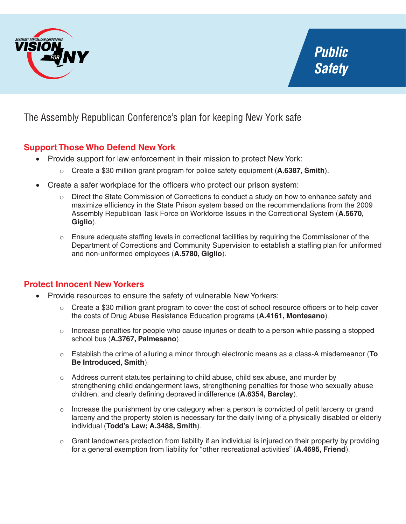

The Assembly Republican Conference's plan for keeping New York safe

## **Support Those Who Defend New York**

- Provide support for law enforcement in their mission to protect New York:
	- o Create a \$30 million grant program for police safety equipment (**A.6387, Smith**).
- Create a safer workplace for the officers who protect our prison system:
	- o Direct the State Commission of Corrections to conduct a study on how to enhance safety and maximize efficiency in the State Prison system based on the recommendations from the 2009 Assembly Republican Task Force on Workforce Issues in the Correctional System (**A.5670, Giglio**).
	- o Ensure adequate staffing levels in correctional facilities by requiring the Commissioner of the Department of Corrections and Community Supervision to establish a staffing plan for uniformed and non-uniformed employees (**A.5780, Giglio**).

## **Protect Innocent New Yorkers**

- Provide resources to ensure the safety of vulnerable New Yorkers:
	- $\circ$  Create a \$30 million grant program to cover the cost of school resource officers or to help cover the costs of Drug Abuse Resistance Education programs (**A.4161, Montesano**).
	- o Increase penalties for people who cause injuries or death to a person while passing a stopped school bus (**A.3767, Palmesano**).
	- o Establish the crime of alluring a minor through electronic means as a class-A misdemeanor (**To Be Introduced, Smith**).
	- $\circ$  Address current statutes pertaining to child abuse, child sex abuse, and murder by strengthening child endangerment laws, strengthening penalties for those who sexually abuse children, and clearly defining depraved indifference (**A.6354, Barclay**).
	- $\circ$  Increase the punishment by one category when a person is convicted of petit larceny or grand larceny and the property stolen is necessary for the daily living of a physically disabled or elderly individual (**Todd's Law; A.3488, Smith**).
	- $\circ$  Grant landowners protection from liability if an individual is injured on their property by providing for a general exemption from liability for "other recreational activities" (**A.4695, Friend**).